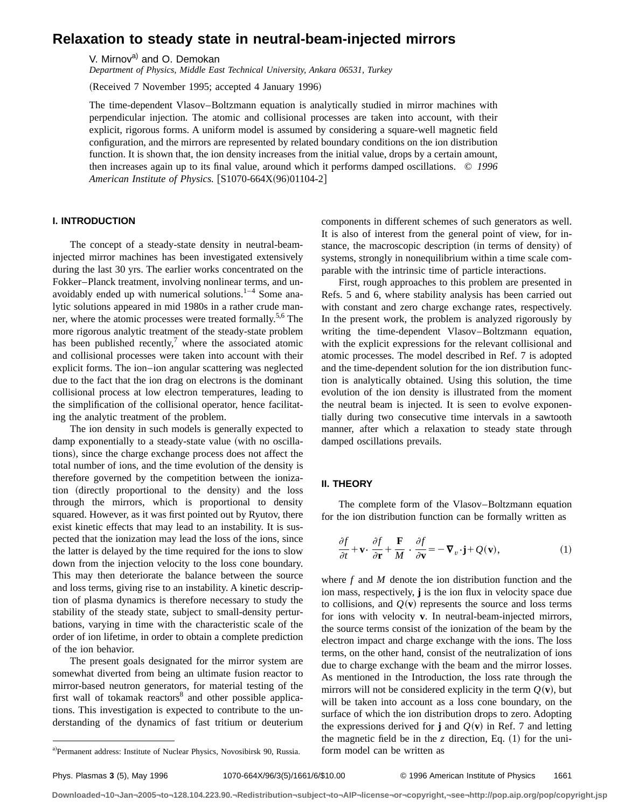# **Relaxation to steady state in neutral-beam-injected mirrors**

V. Mirnov<sup>a)</sup> and O. Demokan

*Department of Physics, Middle East Technical University, Ankara 06531, Turkey*

(Received 7 November 1995; accepted 4 January 1996)

The time-dependent Vlasov–Boltzmann equation is analytically studied in mirror machines with perpendicular injection. The atomic and collisional processes are taken into account, with their explicit, rigorous forms. A uniform model is assumed by considering a square-well magnetic field configuration, and the mirrors are represented by related boundary conditions on the ion distribution function. It is shown that, the ion density increases from the initial value, drops by a certain amount, then increases again up to its final value, around which it performs damped oscillations. © *1996 American Institute of Physics.* [S1070-664X(96)01104-2]

# **I. INTRODUCTION**

The concept of a steady-state density in neutral-beaminjected mirror machines has been investigated extensively during the last 30 yrs. The earlier works concentrated on the Fokker–Planck treatment, involving nonlinear terms, and unavoidably ended up with numerical solutions. $1-4$  Some analytic solutions appeared in mid 1980s in a rather crude manner, where the atomic processes were treated formally.<sup>5,6</sup> The more rigorous analytic treatment of the steady-state problem has been published recently,<sup>7</sup> where the associated atomic and collisional processes were taken into account with their explicit forms. The ion–ion angular scattering was neglected due to the fact that the ion drag on electrons is the dominant collisional process at low electron temperatures, leading to the simplification of the collisional operator, hence facilitating the analytic treatment of the problem.

The ion density in such models is generally expected to damp exponentially to a steady-state value (with no oscillations), since the charge exchange process does not affect the total number of ions, and the time evolution of the density is therefore governed by the competition between the ionization (directly proportional to the density) and the loss through the mirrors, which is proportional to density squared. However, as it was first pointed out by Ryutov, there exist kinetic effects that may lead to an instability. It is suspected that the ionization may lead the loss of the ions, since the latter is delayed by the time required for the ions to slow down from the injection velocity to the loss cone boundary. This may then deteriorate the balance between the source and loss terms, giving rise to an instability. A kinetic description of plasma dynamics is therefore necessary to study the stability of the steady state, subject to small-density perturbations, varying in time with the characteristic scale of the order of ion lifetime, in order to obtain a complete prediction of the ion behavior.

The present goals designated for the mirror system are somewhat diverted from being an ultimate fusion reactor to mirror-based neutron generators, for material testing of the first wall of tokamak reactors $\delta$  and other possible applications. This investigation is expected to contribute to the understanding of the dynamics of fast tritium or deuterium components in different schemes of such generators as well. It is also of interest from the general point of view, for instance, the macroscopic description (in terms of density) of systems, strongly in nonequilibrium within a time scale comparable with the intrinsic time of particle interactions.

First, rough approaches to this problem are presented in Refs. 5 and 6, where stability analysis has been carried out with constant and zero charge exchange rates, respectively. In the present work, the problem is analyzed rigorously by writing the time-dependent Vlasov–Boltzmann equation, with the explicit expressions for the relevant collisional and atomic processes. The model described in Ref. 7 is adopted and the time-dependent solution for the ion distribution function is analytically obtained. Using this solution, the time evolution of the ion density is illustrated from the moment the neutral beam is injected. It is seen to evolve exponentially during two consecutive time intervals in a sawtooth manner, after which a relaxation to steady state through damped oscillations prevails.

# **II. THEORY**

The complete form of the Vlasov–Boltzmann equation for the ion distribution function can be formally written as

$$
\frac{\partial f}{\partial t} + \mathbf{v} \cdot \frac{\partial f}{\partial \mathbf{r}} + \frac{\mathbf{F}}{M} \cdot \frac{\partial f}{\partial \mathbf{v}} = -\nabla_v \cdot \mathbf{j} + Q(\mathbf{v}),\tag{1}
$$

where *f* and *M* denote the ion distribution function and the ion mass, respectively, **j** is the ion flux in velocity space due to collisions, and  $Q(\mathbf{v})$  represents the source and loss terms for ions with velocity **v**. In neutral-beam-injected mirrors, the source terms consist of the ionization of the beam by the electron impact and charge exchange with the ions. The loss terms, on the other hand, consist of the neutralization of ions due to charge exchange with the beam and the mirror losses. As mentioned in the Introduction, the loss rate through the mirrors will not be considered explicity in the term  $Q(\mathbf{v})$ , but will be taken into account as a loss cone boundary, on the surface of which the ion distribution drops to zero. Adopting the expressions derived for **j** and  $Q(\mathbf{v})$  in Ref. 7 and letting the magnetic field be in the  $z$  direction, Eq.  $(1)$  for the uni-

a)Permanent address: Institute of Nuclear Physics, Novosibirsk 90, Russia. form model can be written as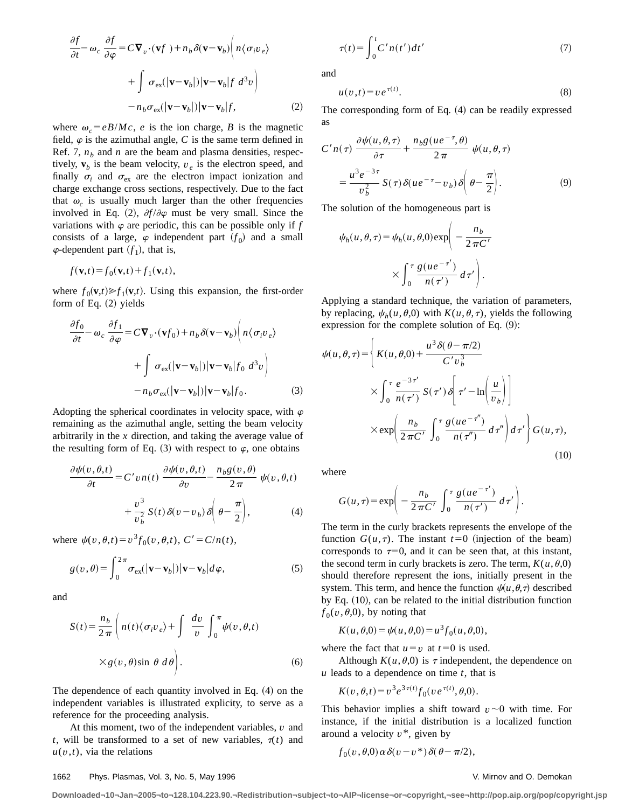$$
\frac{\partial f}{\partial t} - \omega_c \frac{\partial f}{\partial \varphi} = C \nabla_v \cdot (\mathbf{v} f) + n_b \delta(\mathbf{v} - \mathbf{v}_b) \left( n \langle \sigma_i v_e \rangle \right)
$$

$$
+ \int \sigma_{\text{ex}}(|\mathbf{v} - \mathbf{v}_b|) |\mathbf{v} - \mathbf{v}_b| f \, d^3 v \right)
$$

$$
- n_b \sigma_{\text{ex}}(|\mathbf{v} - \mathbf{v}_b|) |\mathbf{v} - \mathbf{v}_b| f, \tag{2}
$$

where  $\omega_c = eB/Mc$ , *e* is the ion charge, *B* is the magnetic field,  $\varphi$  is the azimuthal angle, *C* is the same term defined in Ref. 7,  $n<sub>b</sub>$  and *n* are the beam and plasma densities, respectively,  $\mathbf{v}_b$  is the beam velocity,  $v_e$  is the electron speed, and finally  $\sigma_i$  and  $\sigma_{ex}$  are the electron impact ionization and charge exchange cross sections, respectively. Due to the fact that  $\omega_c$  is usually much larger than the other frequencies involved in Eq. (2),  $\partial f / \partial \varphi$  must be very small. Since the variations with  $\varphi$  are periodic, this can be possible only if  $f$ consists of a large,  $\varphi$  independent part  $(f_0)$  and a small  $\varphi$ -dependent part  $(f_1)$ , that is,

$$
f(\mathbf{v},t) = f_0(\mathbf{v},t) + f_1(\mathbf{v},t),
$$

where  $f_0(\mathbf{v},t) \gg f_1(\mathbf{v},t)$ . Using this expansion, the first-order form of Eq.  $(2)$  yields

$$
\frac{\partial f_0}{\partial t} - \omega_c \frac{\partial f_1}{\partial \varphi} = C \nabla_v \cdot (\mathbf{v} f_0) + n_b \delta(\mathbf{v} - \mathbf{v}_b) \left( n \langle \sigma_i v_e \rangle \right)
$$

$$
+ \int \sigma_{ex} (|\mathbf{v} - \mathbf{v}_b|) |\mathbf{v} - \mathbf{v}_b| f_0 \ d^3 v \right)
$$

$$
- n_b \sigma_{ex} (|\mathbf{v} - \mathbf{v}_b|) |\mathbf{v} - \mathbf{v}_b| f_0. \tag{3}
$$

Adopting the spherical coordinates in velocity space, with  $\varphi$ remaining as the azimuthal angle, setting the beam velocity arbitrarily in the *x* direction, and taking the average value of the resulting form of Eq. (3) with respect to  $\varphi$ , one obtains

$$
\frac{\partial \psi(v, \theta, t)}{\partial t} = C' v n(t) \frac{\partial \psi(v, \theta, t)}{\partial v} - \frac{n_b g(v, \theta)}{2 \pi} \psi(v, \theta, t)
$$

$$
+ \frac{v^3}{v_b^2} S(t) \delta(v - v_b) \delta\left(\theta - \frac{\pi}{2}\right), \tag{4}
$$

where  $\psi(v,\theta,t) = v^3 f_0(v,\theta,t), C' = C/n(t)$ ,

$$
g(v,\theta) = \int_0^{2\pi} \sigma_{\text{ex}}(|\mathbf{v} - \mathbf{v}_b|) |\mathbf{v} - \mathbf{v}_b| d\varphi,
$$
 (5)

and

$$
S(t) = \frac{n_b}{2\pi} \left( n(t) \langle \sigma_i v_e \rangle + \int \frac{dv}{v} \int_0^{\pi} \psi(v, \theta, t) \right)
$$

$$
\times g(v, \theta) \sin \theta \, d\theta \bigg). \tag{6}
$$

The dependence of each quantity involved in Eq.  $(4)$  on the independent variables is illustrated explicity, to serve as a reference for the proceeding analysis.

At this moment, two of the independent variables, *v* and *t*, will be transformed to a set of new variables,  $\tau(t)$  and  $u(v,t)$ , via the relations

$$
\tau(t) = \int_0^t C' n(t') dt' \tag{7}
$$

and

$$
u(v,t) = v e^{\tau(t)}.
$$
\n(8)

The corresponding form of Eq.  $(4)$  can be readily expressed as

$$
C'n(\tau) \frac{\partial \psi(u,\theta,\tau)}{\partial \tau} + \frac{n_b g (u e^{-\tau}, \theta)}{2\pi} \psi(u,\theta,\tau)
$$

$$
= \frac{u^3 e^{-3\tau}}{v_b^2} S(\tau) \delta(u e^{-\tau} - v_b) \delta\left(\theta - \frac{\pi}{2}\right).
$$
(9)

The solution of the homogeneous part is

$$
\psi_h(u,\theta,\tau) = \psi_h(u,\theta,0) \exp\left(-\frac{n_b}{2\pi C'}\n\times \int_0^\tau \frac{g(ue^{-\tau'})}{n(\tau')} d\tau'\right).
$$

Applying a standard technique, the variation of parameters, by replacing,  $\psi_h(u, \theta, 0)$  with  $K(u, \theta, \tau)$ , yields the following expression for the complete solution of Eq.  $(9)$ :

$$
\psi(u,\theta,\tau) = \left\{ K(u,\theta,0) + \frac{u^3 \delta(\theta - \pi/2)}{C' v_b^3} \right\}
$$

$$
\times \int_0^{\tau} \frac{e^{-3\tau'}}{n(\tau')} S(\tau') \delta \left[ \tau' - \ln\left(\frac{u}{v_b}\right) \right]
$$

$$
\times \exp\left(\frac{n_b}{2\pi C'} \int_0^{\tau} \frac{g(ue^{-\tau''})}{n(\tau'')} d\tau'' \right) d\tau' \right\} G(u,\tau), \tag{10}
$$

where

$$
G(u,\tau) = \exp\bigg(-\frac{n_b}{2\,\pi C'}\,\int_0^\tau \frac{g(ue^{-\tau'})}{n(\tau')} \,d\,\tau'\bigg).
$$

The term in the curly brackets represents the envelope of the function  $G(u, \tau)$ . The instant  $t=0$  (injection of the beam) corresponds to  $\tau=0$ , and it can be seen that, at this instant, the second term in curly brackets is zero. The term,  $K(u, \theta, 0)$ should therefore represent the ions, initially present in the system. This term, and hence the function  $\psi(u,\theta,\tau)$  described by Eq.  $(10)$ , can be related to the initial distribution function  $f_0(v,\theta,0)$ , by noting that

$$
K(u, \theta, 0) = \psi(u, \theta, 0) = u^{3} f_{0}(u, \theta, 0),
$$

where the fact that  $u=v$  at  $t=0$  is used.

Although  $K(u, \theta, 0)$  is  $\tau$  independent, the dependence on *u* leads to a dependence on time *t*, that is

$$
K(v, \theta, t) = v^3 e^{3\tau(t)} f_0(v e^{\tau(t)}, \theta, 0).
$$

This behavior implies a shift toward  $v \sim 0$  with time. For instance, if the initial distribution is a localized function around a velocity *v*\*, given by

$$
f_0(v,\theta,0)\alpha\delta(v-v^*)\delta(\theta-\pi/2),
$$

### 1662 Phys. Plasmas, Vol. 3, No. 5, May 1996 V. Mirnov and O. Demokan

**Downloaded¬10¬Jan¬2005¬to¬128.104.223.90.¬Redistribution¬subject¬to¬AIP¬license¬or¬copyright,¬see¬http://pop.aip.org/pop/copyright.jsp**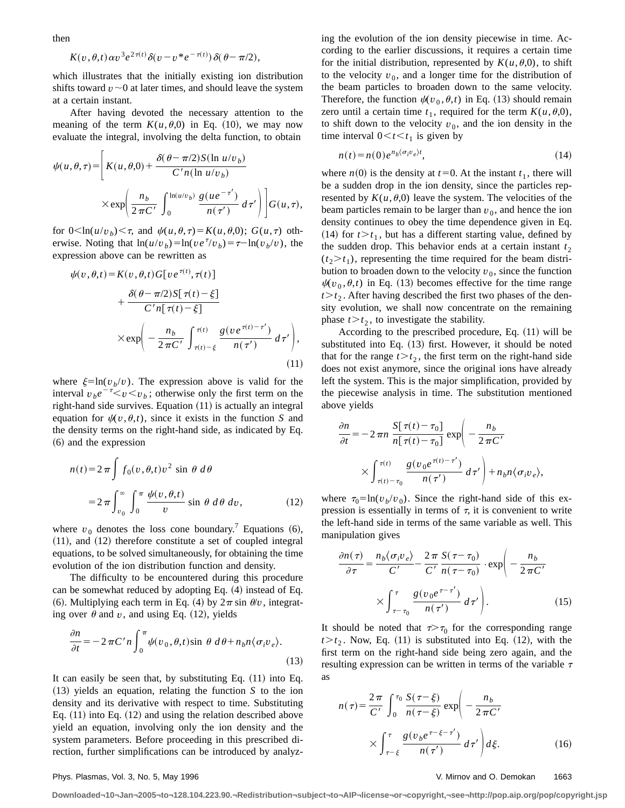then

$$
K(v,\theta,t)\alpha v^3 e^{2\tau(t)}\delta(v-v^*e^{-\tau(t)})\delta(\theta-\pi/2),
$$

which illustrates that the initially existing ion distribution shifts toward  $v \sim 0$  at later times, and should leave the system at a certain instant.

After having devoted the necessary attention to the meaning of the term  $K(u, \theta, 0)$  in Eq. (10), we may now evaluate the integral, involving the delta function, to obtain

$$
\psi(u,\theta,\tau) = \left[K(u,\theta,0) + \frac{\delta(\theta - \pi/2)S(\ln u/v_b)}{C'n(\ln u/v_b)}\right]
$$

$$
\times \exp\left(\frac{n_b}{2\pi C'} \int_0^{\ln(u/v_b)} \frac{g(ue^{-\tau'})}{n(\tau')} d\tau'\right) G(u,\tau),
$$

for  $0<\ln(u/v_b)<\tau$ , and  $\psi(u,\theta,\tau)=K(u,\theta,0)$ ;  $G(u,\tau)$  otherwise. Noting that  $\ln(u/v_b) = \ln(v e^{\tau}/v_b) = \tau - \ln(v_b/v)$ , the expression above can be rewritten as

$$
\psi(v,\theta,t) = K(v,\theta,t)G[v e^{\tau(t)},\tau(t)]
$$
  
+ 
$$
\frac{\delta(\theta-\pi/2)S[\tau(t)-\xi]}{C'n[\tau(t)-\xi]}
$$
  

$$
\times \exp\left(-\frac{n_b}{2\pi C'}\int_{\tau(t)-\xi}^{\tau(t)} \frac{g(v e^{\tau(t)-\tau'})}{n(\tau')} d\tau'\right),
$$
\n(11)

where  $\xi = \ln(v_b/v)$ . The expression above is valid for the interval  $v_{b}e^{-\tau} < v < v_{b}$ ; otherwise only the first term on the right-hand side survives. Equation  $(11)$  is actually an integral equation for  $\psi(v,\theta,t)$ , since it exists in the function *S* and the density terms on the right-hand side, as indicated by Eq.  $(6)$  and the expression

$$
n(t) = 2\pi \int f_0(v, \theta, t)v^2 \sin \theta \, d\theta
$$
  
= 
$$
2\pi \int_{v_0}^{\infty} \int_0^{\pi} \frac{\psi(v, \theta, t)}{v} \sin \theta \, d\theta \, dv,
$$
 (12)

where  $v_0$  denotes the loss cone boundary.<sup>7</sup> Equations  $(6)$ ,  $(11)$ , and  $(12)$  therefore constitute a set of coupled integral equations, to be solved simultaneously, for obtaining the time evolution of the ion distribution function and density.

The difficulty to be encountered during this procedure can be somewhat reduced by adopting Eq.  $(4)$  instead of Eq. (6). Multiplying each term in Eq. (4) by  $2\pi \sin \theta/v$ , integrating over  $\theta$  and  $v$ , and using Eq. (12), yields

$$
\frac{\partial n}{\partial t} = -2\pi C' n \int_0^{\pi} \psi(v_0, \theta, t) \sin \theta \, d\theta + n_b n \langle \sigma_i v_e \rangle.
$$
\n(13)

It can easily be seen that, by substituting Eq.  $(11)$  into Eq.  $(13)$  yields an equation, relating the function *S* to the ion density and its derivative with respect to time. Substituting Eq.  $(11)$  into Eq.  $(12)$  and using the relation described above yield an equation, involving only the ion density and the system parameters. Before proceeding in this prescribed direction, further simplifications can be introduced by analyzing the evolution of the ion density piecewise in time. According to the earlier discussions, it requires a certain time for the initial distribution, represented by  $K(u, \theta, 0)$ , to shift to the velocity  $v_0$ , and a longer time for the distribution of the beam particles to broaden down to the same velocity. Therefore, the function  $\psi(v_0, \theta, t)$  in Eq. (13) should remain zero until a certain time  $t_1$ , required for the term  $K(u, \theta, 0)$ , to shift down to the velocity  $v_0$ , and the ion density in the time interval  $0 < t < t_1$  is given by

$$
n(t) = n(0)e^{n_b(\sigma_i v_e)t},\tag{14}
$$

where  $n(0)$  is the density at  $t=0$ . At the instant  $t<sub>1</sub>$ , there will be a sudden drop in the ion density, since the particles represented by  $K(u, \theta, 0)$  leave the system. The velocities of the beam particles remain to be larger than  $v_0$ , and hence the ion density continues to obey the time dependence given in Eq. (14) for  $t > t_1$ , but has a different starting value, defined by the sudden drop. This behavior ends at a certain instant  $t_2$  $(t_2 > t_1)$ , representing the time required for the beam distribution to broaden down to the velocity  $v_0$ , since the function  $\psi(v_0, \theta, t)$  in Eq. (13) becomes effective for the time range  $t > t<sub>2</sub>$ . After having described the first two phases of the density evolution, we shall now concentrate on the remaining phase  $t > t<sub>2</sub>$ , to investigate the stability.

According to the prescribed procedure, Eq.  $(11)$  will be substituted into Eq.  $(13)$  first. However, it should be noted that for the range  $t > t<sub>2</sub>$ , the first term on the right-hand side does not exist anymore, since the original ions have already left the system. This is the major simplification, provided by the piecewise analysis in time. The substitution mentioned above yields

$$
\frac{\partial n}{\partial t} = -2 \pi n \frac{S[\tau(t) - \tau_0]}{n[\tau(t) - \tau_0]} \exp\left(-\frac{n_b}{2 \pi C'}\right)
$$

$$
\times \int_{\tau(t) - \tau_0}^{\tau(t)} \frac{g(v_0 e^{\tau(t) - \tau'})}{n(\tau')} d\tau' \right) + n_b n \langle \sigma_i v_e \rangle,
$$

where  $\tau_0 = \ln(v_b/v_0)$ . Since the right-hand side of this expression is essentially in terms of  $\tau$ , it is convenient to write the left-hand side in terms of the same variable as well. This manipulation gives

$$
\frac{\partial n(\tau)}{\partial \tau} = \frac{n_b \langle \sigma_i v_e \rangle}{C'} - \frac{2\pi}{C'} \frac{S(\tau - \tau_0)}{n(\tau - \tau_0)} \cdot \exp\left(-\frac{n_b}{2\pi C'}\right)
$$

$$
\times \int_{\tau - \tau_0}^{\tau} \frac{g(v_0 e^{\tau - \tau'})}{n(\tau')} d\tau' \right). \tag{15}
$$

It should be noted that  $\tau > \tau_0$  for the corresponding range  $t > t<sub>2</sub>$ . Now, Eq. (11) is substituted into Eq. (12), with the first term on the right-hand side being zero again, and the resulting expression can be written in terms of the variable  $\tau$ as

$$
n(\tau) = \frac{2\pi}{C'} \int_0^{\tau_0} \frac{S(\tau - \xi)}{n(\tau - \xi)} \exp\left(-\frac{n_b}{2\pi C'}\right)
$$

$$
\times \int_{\tau - \xi}^{\tau} \frac{g(v_b e^{\tau - \xi - \tau'})}{n(\tau')} d\tau' \, d\xi. \tag{16}
$$

#### Phys. Plasmas, Vol. 3, No. 5, May 1996 V. Mirnov and O. Demokan 1663

**Downloaded¬10¬Jan¬2005¬to¬128.104.223.90.¬Redistribution¬subject¬to¬AIP¬license¬or¬copyright,¬see¬http://pop.aip.org/pop/copyright.jsp**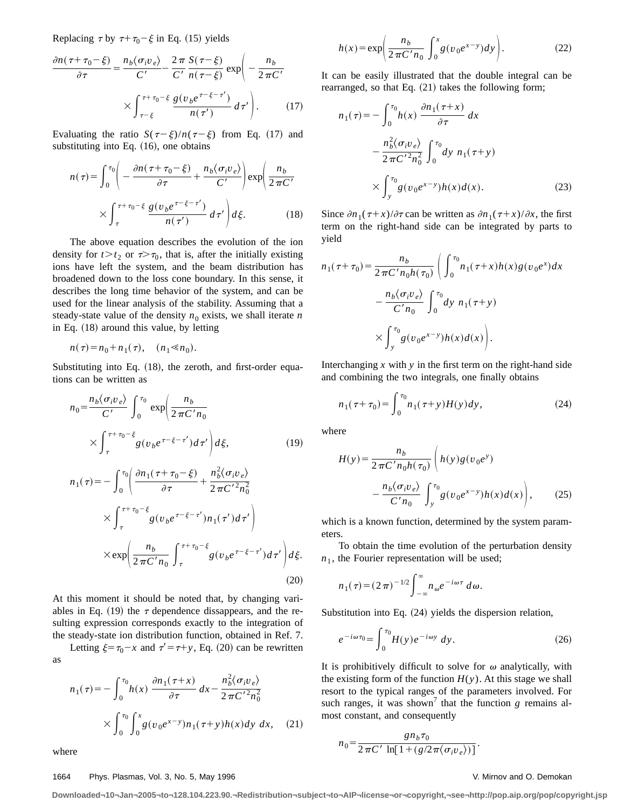Replacing  $\tau$  by  $\tau+\tau_0-\xi$  in Eq. (15) yields

$$
\frac{\partial n(\tau + \tau_0 - \xi)}{\partial \tau} = \frac{n_b \langle \sigma_i v_e \rangle}{C'} - \frac{2\pi}{C'} \frac{S(\tau - \xi)}{n(\tau - \xi)} \exp\left(-\frac{n_b}{2\pi C'}\right)
$$

$$
\times \int_{\tau - \xi}^{\tau + \tau_0 - \xi} \frac{g(v_b e^{\tau - \xi - \tau'})}{n(\tau')} d\tau' \Bigg). \tag{17}
$$

Evaluating the ratio  $S(\tau-\xi)/n(\tau-\xi)$  from Eq. (17) and substituting into Eq.  $(16)$ , one obtains

$$
n(\tau) = \int_0^{\tau_0} \left( -\frac{\partial n(\tau + \tau_0 - \xi)}{\partial \tau} + \frac{n_b \langle \sigma_i v_e \rangle}{C'} \right) \exp\left( \frac{n_b}{2 \pi C'} \right)
$$

$$
\times \int_{\tau}^{\tau + \tau_0 - \xi} \frac{g(v_b e^{\tau - \xi - \tau'})}{n(\tau')} d\tau' \right) d\xi.
$$
(18)

The above equation describes the evolution of the ion density for  $t > t_2$  or  $\tau > \tau_0$ , that is, after the initially existing ions have left the system, and the beam distribution has broadened down to the loss cone boundary. In this sense, it describes the long time behavior of the system, and can be used for the linear analysis of the stability. Assuming that a steady-state value of the density  $n_0$  exists, we shall iterate *n* in Eq.  $(18)$  around this value, by letting

$$
n(\tau) = n_0 + n_1(\tau), \quad (n_1 \ll n_0).
$$

Substituting into Eq.  $(18)$ , the zeroth, and first-order equations can be written as

$$
n_0 = \frac{n_b \langle \sigma_i v_e \rangle}{C'} \int_0^{\tau_0} \exp \left( \frac{n_b}{2 \pi C' n_0} \right)
$$
  
\n
$$
\times \int_{\tau}^{\tau + \tau_0 - \xi} g(v_b e^{\tau - \xi - \tau'}) d\tau' \Bigg) d\xi,
$$
(19)  
\n
$$
n_1(\tau) = - \int_0^{\tau_0} \left( \frac{\partial n_1(\tau + \tau_0 - \xi)}{\partial \tau} + \frac{n_b^2 \langle \sigma_i v_e \rangle}{2 \pi C'^2 n_0^2} \right)
$$
  
\n
$$
\times \int_{\tau}^{\tau + \tau_0 - \xi} g(v_b e^{\tau - \xi - \tau'}) n_1(\tau') d\tau' \Bigg)
$$
  
\n
$$
\times \exp \left( \frac{n_b}{2 \pi C' n_0} \int_{\tau}^{\tau + \tau_0 - \xi} g(v_b e^{\tau - \xi - \tau'}) d\tau' \right) d\xi.
$$
(20)

At this moment it should be noted that, by changing variables in Eq. (19) the  $\tau$  dependence dissappears, and the re-

the steady-state ion distribution function, obtained in Ref. 7. Letting  $\xi = \tau_0 - x$  and  $\tau' = \tau + y$ , Eq. (20) can be rewritten as

sulting expression corresponds exactly to the integration of

$$
n_1(\tau) = -\int_0^{\tau_0} h(x) \frac{\partial n_1(\tau + x)}{\partial \tau} dx - \frac{n_b^2 \langle \sigma_i v_e \rangle}{2 \pi C'^2 n_0^2}
$$

$$
\times \int_0^{\tau_0} \int_0^x g(v_0 e^{x-y}) n_1(\tau + y) h(x) dy dx, \quad (21)
$$

where

#### 1664 Phys. Plasmas, Vol. 3, No. 5, May 1996 V. Mirnov and O. Demokan

$$
h(x) = \exp\left(\frac{n_b}{2\pi C' n_0} \int_0^x g(v_0 e^{x-y}) dy\right).
$$
 (22)

It can be easily illustrated that the double integral can be rearranged, so that Eq.  $(21)$  takes the following form;

$$
n_1(\tau) = -\int_0^{\tau_0} h(x) \frac{\partial n_1(\tau + x)}{\partial \tau} dx
$$

$$
- \frac{n_b^2 \langle \sigma_i v_e \rangle}{2 \pi C'^2 n_0^2} \int_0^{\tau_0} dy \ n_1(\tau + y)
$$

$$
\times \int_y^{\tau_0} g(v_0 e^{x-y}) h(x) d(x).
$$
 (23)

Since  $\partial n_1(\tau+x)/\partial \tau$  can be written as  $\partial n_1(\tau+x)/\partial x$ , the first term on the right-hand side can be integrated by parts to yield

$$
n_1(\tau + \tau_0) = \frac{n_b}{2 \pi C' n_0 h(\tau_0)} \left( \int_0^{\tau_0} n_1(\tau + x) h(x) g(v_0 e^x) dx - \frac{n_b \langle \sigma_i v_e \rangle}{C' n_0} \int_0^{\tau_0} dy n_1(\tau + y) \times \int_y^{\tau_0} g(v_0 e^{x-y}) h(x) d(x) \right).
$$

Interchanging  $x$  with  $y$  in the first term on the right-hand side and combining the two integrals, one finally obtains

$$
n_1(\tau + \tau_0) = \int_0^{\tau_0} n_1(\tau + y) H(y) dy,
$$
 (24)

where

$$
H(y) = \frac{n_b}{2 \pi C' n_0 h(\tau_0)} \left( h(y) g(v_0 e^y) - \frac{n_b \langle \sigma_i v_e \rangle}{C' n_0} \int_{y}^{\tau_0} g(v_0 e^{x-y}) h(x) d(x) \right), \quad (25)
$$

which is a known function, determined by the system parameters.

To obtain the time evolution of the perturbation density  $n_1$ , the Fourier representation will be used;

$$
n_1(\tau) = (2\,\pi)^{-1/2} \int_{-\infty}^{\infty} n_{\omega} e^{-i\omega\tau} d\omega.
$$

Substitution into Eq.  $(24)$  yields the dispersion relation,

$$
e^{-i\omega\tau_0} = \int_0^{\tau_0} H(y)e^{-i\omega y} dy.
$$
 (26)

It is prohibitively difficult to solve for  $\omega$  analytically, with the existing form of the function  $H(y)$ . At this stage we shall resort to the typical ranges of the parameters involved. For such ranges, it was shown<sup>7</sup> that the function  $g$  remains almost constant, and consequently

$$
n_0 = \frac{g n_b \tau_0}{2 \pi C' \ln[1 + (g/2 \pi \langle \sigma_i v_e \rangle)]}.
$$

**Downloaded¬10¬Jan¬2005¬to¬128.104.223.90.¬Redistribution¬subject¬to¬AIP¬license¬or¬copyright,¬see¬http://pop.aip.org/pop/copyright.jsp**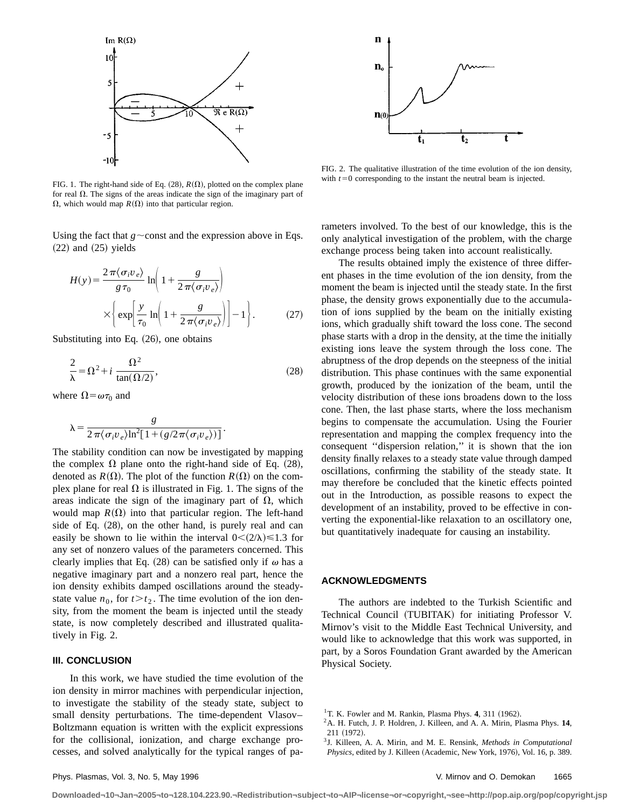

FIG. 1. The right-hand side of Eq.  $(28)$ ,  $R(\Omega)$ , plotted on the complex plane for real  $\Omega$ . The signs of the areas indicate the sign of the imaginary part of  $\Omega$ , which would map  $R(\Omega)$  into that particular region.

Using the fact that  $g \sim$ const and the expression above in Eqs.  $(22)$  and  $(25)$  yields

$$
H(y) = \frac{2\pi \langle \sigma_i v_e \rangle}{g \tau_0} \ln \left( 1 + \frac{g}{2\pi \langle \sigma_i v_e \rangle} \right)
$$

$$
\times \left\{ \exp \left[ \frac{y}{\tau_0} \ln \left( 1 + \frac{g}{2\pi \langle \sigma_i v_e \rangle} \right) \right] - 1 \right\}.
$$
 (27)

Substituting into Eq.  $(26)$ , one obtains

$$
\frac{2}{\lambda} = \Omega^2 + i \frac{\Omega^2}{\tan(\Omega/2)},
$$
\n(28)

where  $\Omega = \omega \tau_0$  and

$$
\lambda = \frac{g}{2\,\pi \big\langle\sigma_i v_{\,e}\big\rangle \text{ln}^2\big[\,1 + (g/2\pi \big\langle\sigma_i v_{\,e}\big\rangle)\big]\,}.
$$

The stability condition can now be investigated by mapping the complex  $\Omega$  plane onto the right-hand side of Eq. (28), denoted as  $R(\Omega)$ . The plot of the function  $R(\Omega)$  on the complex plane for real  $\Omega$  is illustrated in Fig. 1. The signs of the areas indicate the sign of the imaginary part of  $\Omega$ , which would map  $R(\Omega)$  into that particular region. The left-hand side of Eq.  $(28)$ , on the other hand, is purely real and can easily be shown to lie within the interval  $0 < (2/\lambda) \le 1.3$  for any set of nonzero values of the parameters concerned. This clearly implies that Eq. (28) can be satisfied only if  $\omega$  has a negative imaginary part and a nonzero real part, hence the ion density exhibits damped oscillations around the steadystate value  $n_0$ , for  $t > t_2$ . The time evolution of the ion density, from the moment the beam is injected until the steady state, is now completely described and illustrated qualitatively in Fig. 2.

# **III. CONCLUSION**

In this work, we have studied the time evolution of the ion density in mirror machines with perpendicular injection, to investigate the stability of the steady state, subject to small density perturbations. The time-dependent Vlasov– Boltzmann equation is written with the explicit expressions for the collisional, ionization, and charge exchange processes, and solved analytically for the typical ranges of pa-



FIG. 2. The qualitative illustration of the time evolution of the ion density, with  $t=0$  corresponding to the instant the neutral beam is injected.

rameters involved. To the best of our knowledge, this is the only analytical investigation of the problem, with the charge exchange process being taken into account realistically.

The results obtained imply the existence of three different phases in the time evolution of the ion density, from the moment the beam is injected until the steady state. In the first phase, the density grows exponentially due to the accumulation of ions supplied by the beam on the initially existing ions, which gradually shift toward the loss cone. The second phase starts with a drop in the density, at the time the initially existing ions leave the system through the loss cone. The abruptness of the drop depends on the steepness of the initial distribution. This phase continues with the same exponential growth, produced by the ionization of the beam, until the velocity distribution of these ions broadens down to the loss cone. Then, the last phase starts, where the loss mechanism begins to compensate the accumulation. Using the Fourier representation and mapping the complex frequency into the consequent ''dispersion relation,'' it is shown that the ion density finally relaxes to a steady state value through damped oscillations, confirming the stability of the steady state. It may therefore be concluded that the kinetic effects pointed out in the Introduction, as possible reasons to expect the development of an instability, proved to be effective in converting the exponential-like relaxation to an oscillatory one, but quantitatively inadequate for causing an instability.

## **ACKNOWLEDGMENTS**

The authors are indebted to the Turkish Scientific and Technical Council (TUBITAK) for initiating Professor V. Mirnov's visit to the Middle East Technical University, and would like to acknowledge that this work was supported, in part, by a Soros Foundation Grant awarded by the American Physical Society.

- 2A. H. Futch, J. P. Holdren, J. Killeen, and A. A. Mirin, Plasma Phys. **14**, 211 (1972).
- 3J. Killeen, A. A. Mirin, and M. E. Rensink, *Methods in Computational Physics*, edited by J. Killeen (Academic, New York, 1976), Vol. 16, p. 389.

**Downloaded¬10¬Jan¬2005¬to¬128.104.223.90.¬Redistribution¬subject¬to¬AIP¬license¬or¬copyright,¬see¬http://pop.aip.org/pop/copyright.jsp**

 $1$ T. K. Fowler and M. Rankin, Plasma Phys. 4, 311 (1962).